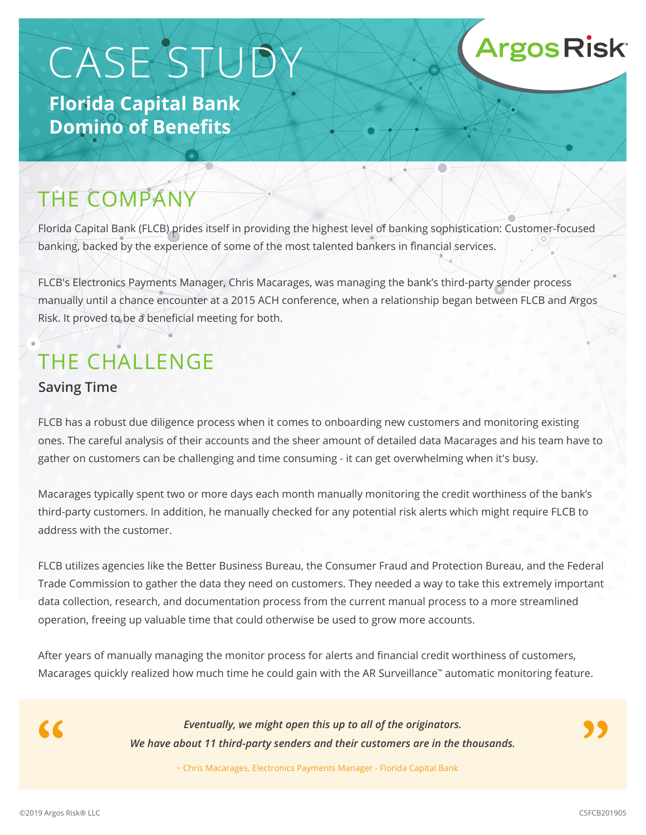# CASE STUDY

**Florida Capital Bank Domino of Benefits**

## THE COMPANY

Florida Capital Bank (FLCB) prides itself in providing the highest level of banking sophistication: Customer-focused banking, backed by the experience of some of the most talented bankers in financial services.

FLCB's Electronics Payments Manager, Chris Macarages, was managing the bank's third-party sender process manually until a chance encounter at a 2015 ACH conference, when a relationship began between FLCB and Argos Risk. It proved to be a beneficial meeting for both.

## THE CHALLENGE

#### **Saving Time**

FLCB has a robust due diligence process when it comes to onboarding new customers and monitoring existing ones. The careful analysis of their accounts and the sheer amount of detailed data Macarages and his team have to gather on customers can be challenging and time consuming - it can get overwhelming when it's busy.

Macarages typically spent two or more days each month manually monitoring the credit worthiness of the bank's third-party customers. In addition, he manually checked for any potential risk alerts which might require FLCB to address with the customer.

FLCB utilizes agencies like the Better Business Bureau, the Consumer Fraud and Protection Bureau, and the Federal Trade Commission to gather the data they need on customers. They needed a way to take this extremely important data collection, research, and documentation process from the current manual process to a more streamlined operation, freeing up valuable time that could otherwise be used to grow more accounts.

After years of manually managing the monitor process for alerts and financial credit worthiness of customers, Macarages quickly realized how much time he could gain with the AR Surveillance™ automatic monitoring feature.

 $\alpha$ 

*Eventually, we might open this up to all of the originators. We have about 11 third-party senders and their customers are in the thousands.*

~ Chris Macarages, Electronics Payments Manager - Florida Capital Bank

**Argos Risk**